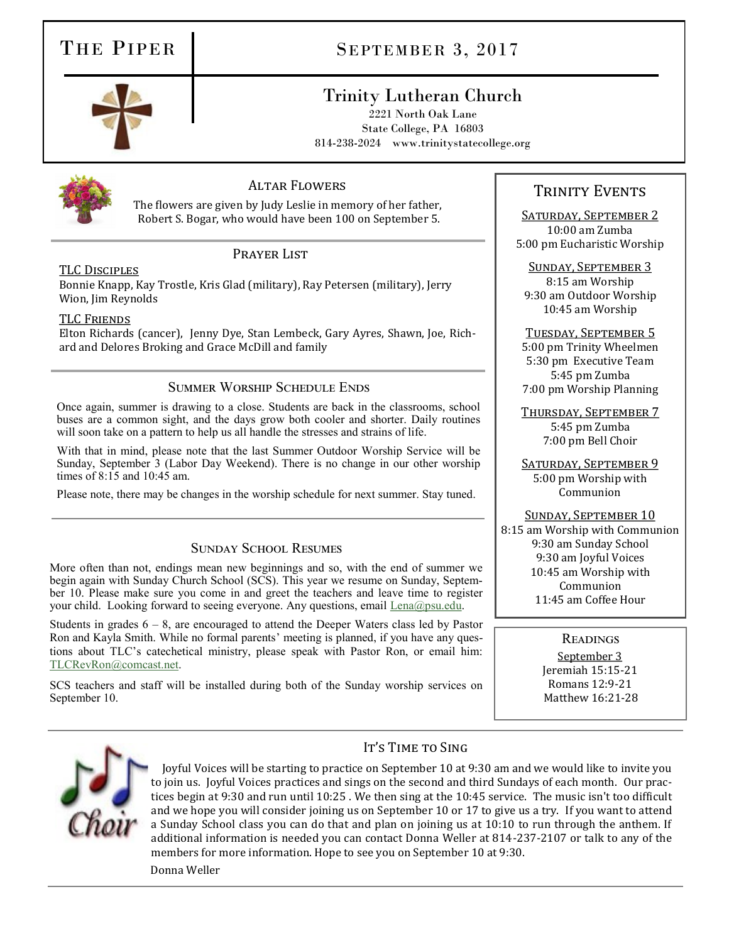## THE PIPER SEPTEMBER 3, 2017

## Trinity Lutheran Church

2221 North Oak Lane State College, PA 16803 814-238-2024 www.trinitystatecollege.org



#### Altar Flowers

The flowers are given by Judy Leslie in memory of her father, Robert S. Bogar, who would have been 100 on September 5.

#### TLC Disciples

#### PRAYER LIST

Bonnie Knapp, Kay Trostle, Kris Glad (military), Ray Petersen (military), Jerry Wion, Jim Reynolds

#### TLC Friends

Elton Richards (cancer), Jenny Dye, Stan Lembeck, Gary Ayres, Shawn, Joe, Richard and Delores Broking and Grace McDill and family

#### Summer Worship Schedule Ends

Once again, summer is drawing to a close. Students are back in the classrooms, school buses are a common sight, and the days grow both cooler and shorter. Daily routines will soon take on a pattern to help us all handle the stresses and strains of life.

With that in mind, please note that the last Summer Outdoor Worship Service will be Sunday, September 3 (Labor Day Weekend). There is no change in our other worship times of 8:15 and 10:45 am.

Please note, there may be changes in the worship schedule for next summer. Stay tuned.

#### Sunday School Resumes

More often than not, endings mean new beginnings and so, with the end of summer we begin again with Sunday Church School (SCS). This year we resume on Sunday, September 10. Please make sure you come in and greet the teachers and leave time to register your child. Looking forward to seeing everyone. Any questions, email [Lena@psu.edu.](mailto:Lena@psu.edu)

Students in grades  $6 - 8$ , are encouraged to attend the Deeper Waters class led by Pastor Ron and Kayla Smith. While no formal parents' meeting is planned, if you have any questions about TLC's catechetical ministry, please speak with Pastor Ron, or email him: [TLCRevRon@comcast.net.](mailto:TLCRevRon@comcast.net) 

SCS teachers and staff will be installed during both of the Sunday worship services on September 10.

### TRINITY EVENTS

Saturday, September 2 10:00 am Zumba 5:00 pm Eucharistic Worship

Sunday, September 3

8:15 am Worship 9:30 am Outdoor Worship 10:45 am Worship

#### Tuesday, September 5 5:00 pm Trinity Wheelmen 5:30 pm Executive Team 5:45 pm Zumba 7:00 pm Worship Planning

Thursday, September 7 5:45 pm Zumba 7:00 pm Bell Choir

SATURDAY, SEPTEMBER 9 5:00 pm Worship with Communion

#### Sunday, September 10

8:15 am Worship with Communion 9:30 am Sunday School 9:30 am Joyful Voices 10:45 am Worship with Communion 11:45 am Coffee Hour

Readings

September 3 Jeremiah 15:15-21 Romans 12:9-21 Matthew 16:21-28



#### IT'S TIME TO SING

Joyful Voices will be starting to practice on September 10 at 9:30 am and we would like to invite you to join us. Joyful Voices practices and sings on the second and third Sundays of each month. Our practices begin at 9:30 and run until 10:25 . We then sing at the 10:45 service. The music isn't too difficult and we hope you will consider joining us on September 10 or 17 to give us a try. If you want to attend a Sunday School class you can do that and plan on joining us at 10:10 to run through the anthem. If additional information is needed you can contact Donna Weller at 814-237-2107 or talk to any of the members for more information. Hope to see you on September 10 at 9:30.

Donna Weller